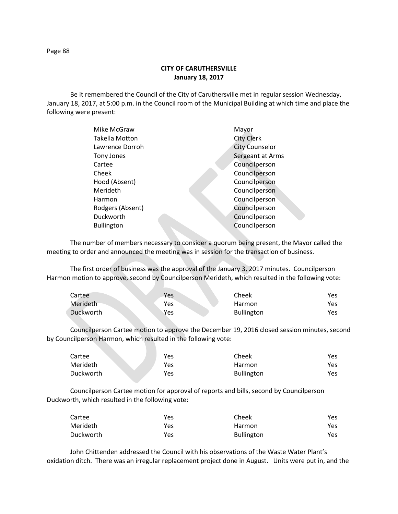**CITY OF CARUTHERSVILLE January 18, 2017**

Be it remembered the Council of the City of Caruthersville met in regular session Wednesday, January 18, 2017, at 5:00 p.m. in the Council room of the Municipal Building at which time and place the following were present:

| Mike McGraw           | Mayor                 |
|-----------------------|-----------------------|
| <b>Takella Motton</b> | <b>City Clerk</b>     |
| Lawrence Dorroh       | <b>City Counselor</b> |
| Tony Jones            | Sergeant at Arms      |
| Cartee                | Councilperson         |
| Cheek                 | Councilperson         |
| Hood (Absent)         | Councilperson         |
| Merideth              | Councilperson         |
| Harmon                | Councilperson         |
| Rodgers (Absent)      | Councilperson         |
| Duckworth             | Councilperson         |
| <b>Bullington</b>     | Councilperson         |
|                       |                       |

The number of members necessary to consider a quorum being present, the Mayor called the meeting to order and announced the meeting was in session for the transaction of business.

The first order of business was the approval of the January 3, 2017 minutes. Councilperson Harmon motion to approve, second by Councilperson Merideth, which resulted in the following vote:

| Cartee    | Yes | Cheek             | Yes |
|-----------|-----|-------------------|-----|
| Merideth  | Yes | Harmon            | Yes |
| Duckworth | Yes | <b>Bullington</b> | Yes |

Councilperson Cartee motion to approve the December 19, 2016 closed session minutes, second by Councilperson Harmon, which resulted in the following vote:

| Cartee    | Yes | Cheek             | Yes |
|-----------|-----|-------------------|-----|
| Merideth  | Yes | Harmon            | Yes |
| Duckworth | Yes | <b>Bullington</b> | Yes |

Councilperson Cartee motion for approval of reports and bills, second by Councilperson Duckworth, which resulted in the following vote:

| Cartee    | Yes | Cheek             | Yes  |
|-----------|-----|-------------------|------|
| Merideth  | Yes | Harmon            | Yes. |
| Duckworth | Yes | <b>Bullington</b> | Yes  |

John Chittenden addressed the Council with his observations of the Waste Water Plant's oxidation ditch. There was an irregular replacement project done in August. Units were put in, and the

Page 88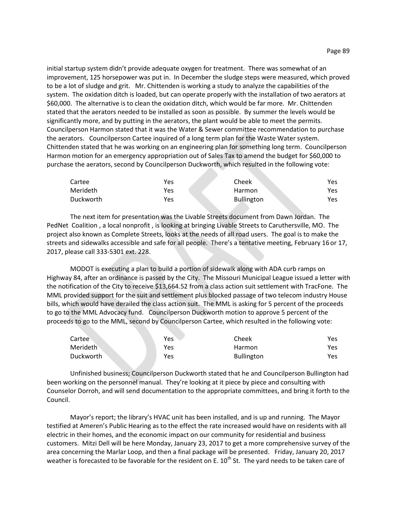initial startup system didn't provide adequate oxygen for treatment. There was somewhat of an improvement, 125 horsepower was put in. In December the sludge steps were measured, which proved to be a lot of sludge and grit. Mr. Chittenden is working a study to analyze the capabilities of the system. The oxidation ditch is loaded, but can operate properly with the installation of two aerators at \$60,000. The alternative is to clean the oxidation ditch, which would be far more. Mr. Chittenden stated that the aerators needed to be installed as soon as possible. By summer the levels would be significantly more, and by putting in the aerators, the plant would be able to meet the permits. Councilperson Harmon stated that it was the Water & Sewer committee recommendation to purchase the aerators. Councilperson Cartee inquired of a long term plan for the Waste Water system. Chittenden stated that he was working on an engineering plan for something long term. Councilperson Harmon motion for an emergency appropriation out of Sales Tax to amend the budget for \$60,000 to purchase the aerators, second by Councilperson Duckworth, which resulted in the following vote:

| Cartee    | Yes | Cheek             | Yes |
|-----------|-----|-------------------|-----|
| Merideth  | Yes | Harmon            | Yes |
| Duckworth | Yes | <b>Bullington</b> | Yes |

The next item for presentation was the Livable Streets document from Dawn Jordan. The PedNet Coalition , a local nonprofit , is looking at bringing Livable Streets to Caruthersville, MO. The project also known as Complete Streets, looks at the needs of all road users. The goal is to make the streets and sidewalks accessible and safe for all people. There's a tentative meeting, February 16 or 17, 2017, please call 333-5301 ext. 228.

MODOT is executing a plan to build a portion of sidewalk along with ADA curb ramps on Highway 84, after an ordinance is passed by the City. The Missouri Municipal League issued a letter with the notification of the City to receive \$13,664.52 from a class action suit settlement with TracFone. The MML provided support for the suit and settlement plus blocked passage of two telecom industry House bills, which would have derailed the class action suit. The MML is asking for 5 percent of the proceeds to go to the MML Advocacy fund. Councilperson Duckworth motion to approve 5 percent of the proceeds to go to the MML, second by Councilperson Cartee, which resulted in the following vote:

| Cartee    | Yes | Cheek             | Yes |
|-----------|-----|-------------------|-----|
| Merideth  | Yes | Harmon            | Yes |
| Duckworth | Yes | <b>Bullington</b> | Yes |

Unfinished business; Councilperson Duckworth stated that he and Councilperson Bullington had been working on the personnel manual. They're looking at it piece by piece and consulting with Counselor Dorroh, and will send documentation to the appropriate committees, and bring it forth to the Council.

Mayor's report; the library's HVAC unit has been installed, and is up and running. The Mayor testified at Ameren's Public Hearing as to the effect the rate increased would have on residents with all electric in their homes, and the economic impact on our community for residential and business customers. Mitzi Dell will be here Monday, January 23, 2017 to get a more comprehensive survey of the area concerning the Marlar Loop, and then a final package will be presented. Friday, January 20, 2017 weather is forecasted to be favorable for the resident on E.  $10^{th}$  St. The yard needs to be taken care of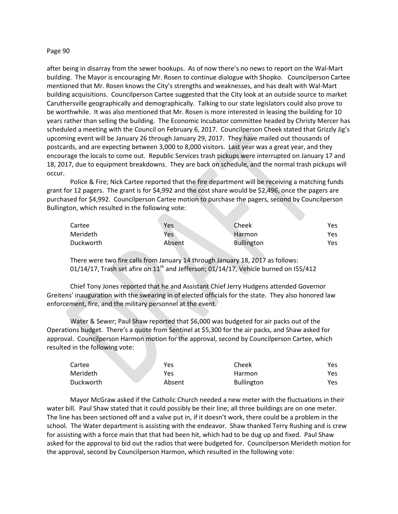## Page 90

after being in disarray from the sewer hookups. As of now there's no news to report on the Wal-Mart building. The Mayor is encouraging Mr. Rosen to continue dialogue with Shopko. Councilperson Cartee mentioned that Mr. Rosen knows the City's strengths and weaknesses, and has dealt with Wal-Mart building acquisitions. Councilperson Cartee suggested that the City look at an outside source to market Caruthersville geographically and demographically. Talking to our state legislators could also prove to be worthwhile. It was also mentioned that Mr. Rosen is more interested in leasing the building for 10 years rather than selling the building. The Economic Incubator committee headed by Christy Mercer has scheduled a meeting with the Council on February 6, 2017. Councilperson Cheek stated that Grizzly Jig's upcoming event will be January 26 through January 29, 2017. They have mailed out thousands of postcards, and are expecting between 3,000 to 8,000 visitors. Last year was a great year, and they encourage the locals to come out. Republic Services trash pickups were interrupted on January 17 and 18, 2017, due to equipment breakdowns. They are back on schedule, and the normal trash pickups will occur.

Police & Fire; Nick Cartee reported that the fire department will be receiving a matching funds grant for 12 pagers. The grant is for \$4,992 and the cost share would be \$2,496, once the pagers are purchased for \$4,992. Councilperson Cartee motion to purchase the pagers, second by Councilperson Bullington, which resulted in the following vote:

| Cartee    | Yes    | Cheek             | Yes |
|-----------|--------|-------------------|-----|
| Merideth  | Yes    | Harmon            | Yes |
| Duckworth | Absent | <b>Bullington</b> | Yes |

There were two fire calls from January 14 through January 18, 2017 as follows: 01/14/17, Trash set afire on  $11<sup>th</sup>$  and Jefferson; 01/14/17, Vehicle burned on I55/412

Chief Tony Jones reported that he and Assistant Chief Jerry Hudgens attended Governor Greitens' inauguration with the swearing in of elected officials for the state. They also honored law enforcement, fire, and the military personnel at the event.

Water & Sewer; Paul Shaw reported that \$6,000 was budgeted for air packs out of the Operations budget. There's a quote from Sentinel at \$5,300 for the air packs, and Shaw asked for approval. Councilperson Harmon motion for the approval, second by Councilperson Cartee, which resulted in the following vote:

| Cartee    | Yes    | Cheek             | Yes  |
|-----------|--------|-------------------|------|
| Merideth  | Yes    | Harmon            | Yes  |
| Duckworth | Absent | <b>Bullington</b> | Yes. |

Mayor McGraw asked if the Catholic Church needed a new meter with the fluctuations in their water bill. Paul Shaw stated that it could possibly be their line; all three buildings are on one meter. The line has been sectioned off and a valve put in, if it doesn't work, there could be a problem in the school. The Water department is assisting with the endeavor. Shaw thanked Terry Rushing and is crew for assisting with a force main that that had been hit, which had to be dug up and fixed. Paul Shaw asked for the approval to bid out the radios that were budgeted for. Councilperson Merideth motion for the approval, second by Councilperson Harmon, which resulted in the following vote: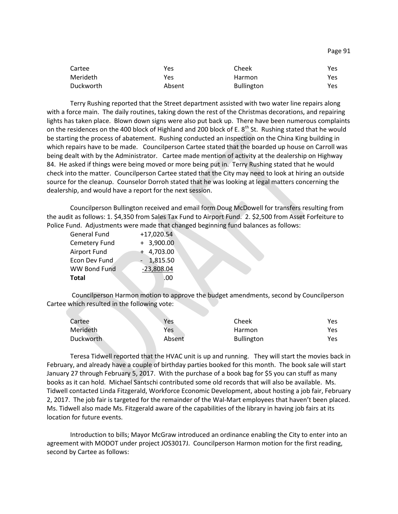| Cartee    | Yes    | Cheek             | Yes. |
|-----------|--------|-------------------|------|
| Merideth  | Yes    | Harmon            | Yes  |
| Duckworth | Absent | <b>Bullington</b> | Yes. |

Terry Rushing reported that the Street department assisted with two water line repairs along with a force main. The daily routines, taking down the rest of the Christmas decorations, and repairing lights has taken place. Blown down signs were also put back up. There have been numerous complaints on the residences on the 400 block of Highland and 200 block of E.  $8^{th}$  St. Rushing stated that he would be starting the process of abatement. Rushing conducted an inspection on the China King building in which repairs have to be made. Councilperson Cartee stated that the boarded up house on Carroll was being dealt with by the Administrator. Cartee made mention of activity at the dealership on Highway 84. He asked if things were being moved or more being put in. Terry Rushing stated that he would check into the matter. Councilperson Cartee stated that the City may need to look at hiring an outside source for the cleanup. Counselor Dorroh stated that he was looking at legal matters concerning the dealership, and would have a report for the next session.

Councilperson Bullington received and email form Doug McDowell for transfers resulting from the audit as follows: 1. \$4,350 from Sales Tax Fund to Airport Fund. 2. \$2,500 from Asset Forfeiture to Police Fund. Adjustments were made that changed beginning fund balances as follows:

| <b>General Fund</b>  | $+17,020.54$          |
|----------------------|-----------------------|
| Cemetery Fund        | $+ 3,900.00$          |
| Airport Fund         | $+4,703.00$           |
| <b>Econ Dev Fund</b> | 1,815.50<br>$\sim 10$ |
| <b>WW Bond Fund</b>  | $-23,808.04$          |
| Total                | .00                   |

Councilperson Harmon motion to approve the budget amendments, second by Councilperson Cartee which resulted in the following vote:

| Cartee    | Yes    | Cheek             | Yes |
|-----------|--------|-------------------|-----|
| Merideth  | Yes    | Harmon            | Yes |
| Duckworth | Absent | <b>Bullington</b> | Yes |

Teresa Tidwell reported that the HVAC unit is up and running. They will start the movies back in February, and already have a couple of birthday parties booked for this month. The book sale will start January 27 through February 5, 2017. With the purchase of a book bag for \$5 you can stuff as many books as it can hold. Michael Santschi contributed some old records that will also be available. Ms. Tidwell contacted Linda Fitzgerald, Workforce Economic Development, about hosting a job fair, February 2, 2017. The job fair is targeted for the remainder of the Wal-Mart employees that haven't been placed. Ms. Tidwell also made Ms. Fitzgerald aware of the capabilities of the library in having job fairs at its location for future events.

Introduction to bills; Mayor McGraw introduced an ordinance enabling the City to enter into an agreement with MODOT under project JOS3017J. Councilperson Harmon motion for the first reading, second by Cartee as follows:

Page 91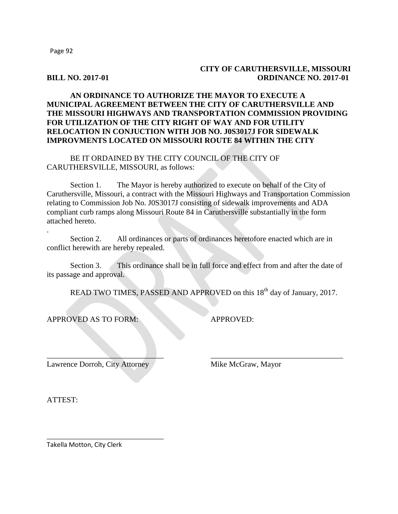Page 92

## **CITY OF CARUTHERSVILLE, MISSOURI BILL NO. 2017-01 ORDINANCE NO. 2017-01**

## **AN ORDINANCE TO AUTHORIZE THE MAYOR TO EXECUTE A MUNICIPAL AGREEMENT BETWEEN THE CITY OF CARUTHERSVILLE AND THE MISSOURI HIGHWAYS AND TRANSPORTATION COMMISSION PROVIDING FOR UTILIZATION OF THE CITY RIGHT OF WAY AND FOR UTILITY RELOCATION IN CONJUCTION WITH JOB NO. J0S3017J FOR SIDEWALK IMPROVMENTS LOCATED ON MISSOURI ROUTE 84 WITHIN THE CITY**

BE IT ORDAINED BY THE CITY COUNCIL OF THE CITY OF CARUTHERSVILLE, MISSOURI, as follows:

Section 1. The Mayor is hereby authorized to execute on behalf of the City of Caruthersville, Missouri, a contract with the Missouri Highways and Transportation Commission relating to Commission Job No. J0S3017J consisting of sidewalk improvements and ADA compliant curb ramps along Missouri Route 84 in Caruthersville substantially in the form attached hereto.

Section 2. All ordinances or parts of ordinances heretofore enacted which are in conflict herewith are hereby repealed.

Section 3. This ordinance shall be in full force and effect from and after the date of its passage and approval.

 $\overline{\phantom{a}}$  , and the contribution of the contribution of the contribution of the contribution of the contribution of the contribution of the contribution of the contribution of the contribution of the contribution of the

READ TWO TIMES, PASSED AND APPROVED on this 18<sup>th</sup> day of January, 2017.

APPROVED AS TO FORM: APPROVED:

Lawrence Dorroh, City Attorney Mike McGraw, Mayor

\_\_\_\_\_\_\_\_\_\_\_\_\_\_\_\_\_\_\_\_\_\_\_\_\_\_\_\_\_\_

ATTEST:

.

Takella Motton, City Clerk